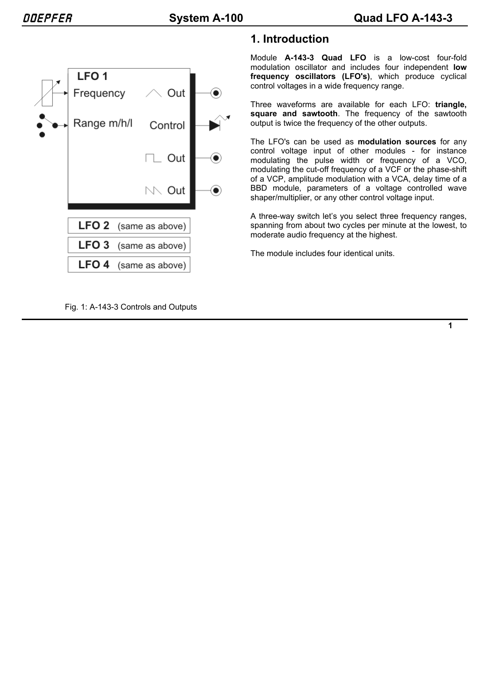

# **1. Introduction**

Module **A-143-3 Quad LFO** is a low-cost four-fold modulation oscillator and includes four independent **low frequency oscillators (LFO's)**, which produce cyclical control voltages in a wide frequency range.

Three waveforms are available for each LFO: **triangle, square and sawtooth**. The frequency of the sawtooth output is twice the frequency of the other outputs.

The LFO's can be used as **modulation sources** for any control voltage input of other modules - for instance modulating the pulse width or frequency of a VCO, modulating the cut-off frequency of a VCF or the phase-shift of a VCP, amplitude modulation with a VCA, delay time of a BBD module, parameters of a voltage controlled wave shaper/multiplier, or any other control voltage input.

A three-way switch let's you select three frequency ranges, spanning from about two cycles per minute at the lowest, to moderate audio frequency at the highest.

The module includes four identical units.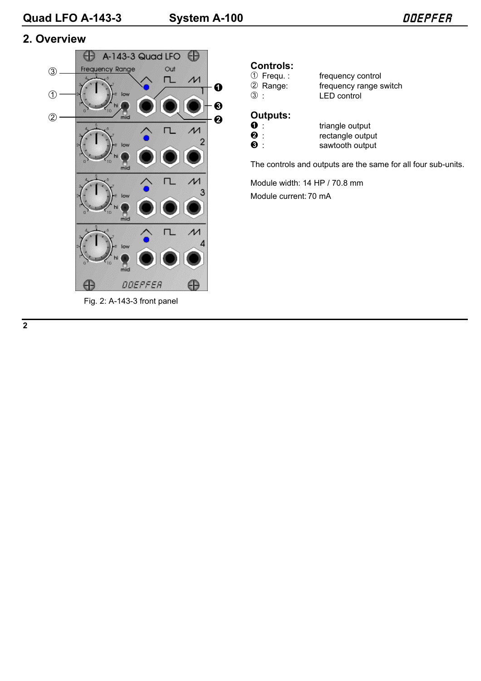## **2. Overview**



#### Fig. 2: A-143-3 front panel

# **Controls:**<br>① Frequ.:

1 Frequency control<br>
1 Frequency range s<br>
2 Range: frequency range s 2 Range: frequency range switch<br>3 : LED control **LED control** 

## **Outputs:**

| $\mathbf 0$ .    | triangle output  |
|------------------|------------------|
| $\boldsymbol{e}$ | rectangle output |
| $\bullet$ :      | sawtooth output  |

The controls and outputs are the same for all four sub-units.

Module width: 14 HP / 70.8 mm Module current:70 mA

**2**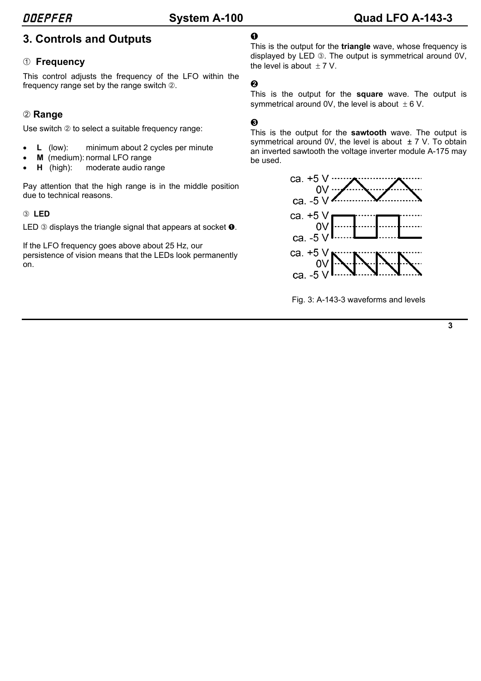# **3. Controls and Outputs**

#### 1 **Frequency**

This control adjusts the frequency of the LFO within the frequency range set by the range switch 2.

## 2 **Range**

Use switch 2 to select a suitable frequency range:

- **L** (low): minimum about 2 cycles per minute
- **M** (medium): normal LFO range
- **H** (high): moderate audio range

Pay attention that the high range is in the middle position due to technical reasons.

#### 3 **LED**

LED  $\circledcirc$  displays the triangle signal that appears at socket  $\bullet$ .

If the LFO frequency goes above about 25 Hz, our persistence of vision means that the LEDs look permanently on.

## $\Omega$

This is the output for the **triangle** wave, whose frequency is displayed by LED 3. The output is symmetrical around 0V, the level is about  $+7$  V.

### $\boldsymbol{\Omega}$

This is the output for the **square** wave. The output is symmetrical around 0V, the level is about  $\pm 6$  V.

#### §

This is the output for the **sawtooth** wave. The output is symmetrical around OV, the level is about  $\pm$  7 V. To obtain an inverted sawtooth the voltage inverter module A-175 may be used.



Fig. 3: A-143-3 waveforms and levels